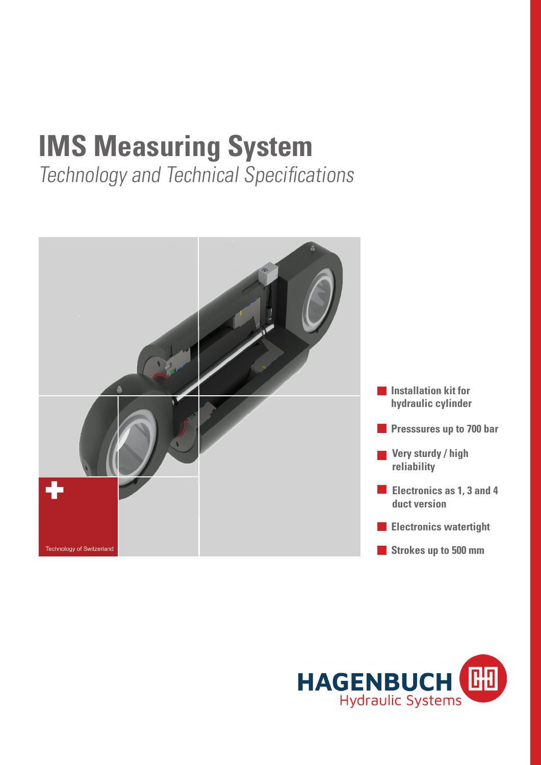# **IMS Measuring System**

Technology and Technical Specifications



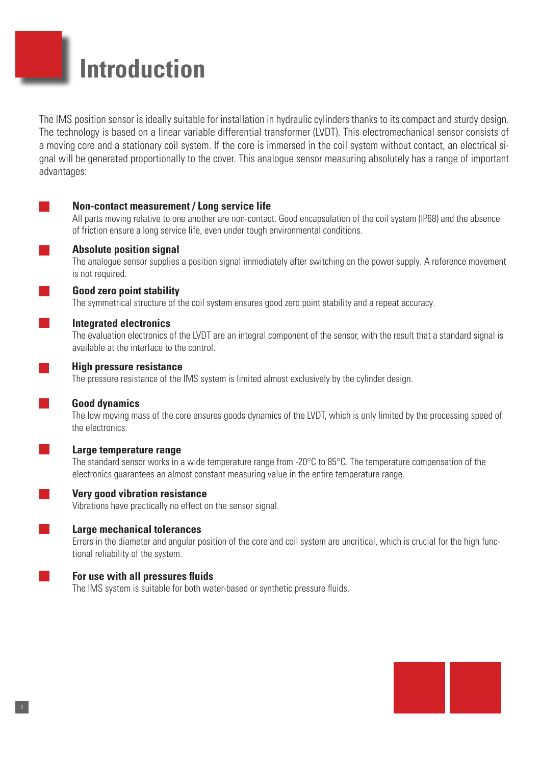## **Introduction**

The IMS position sensor is ideally suitable for installation in hydraulic cylinders thanks to its compact and sturdy design. The technology is based on a linear variable differential transformer (LVDT). This electromechanical sensor consists of a moving core and a stationary coil system. If the core is immersed in the coil system without contact, an electrical signal will be generated proportionally to the cover. This analogue sensor measuring absolutely has a range of important advantages:

#### **Non-contact measurement / Long service life**

All parts moving relative to one another are non-contact. Good encapsulation of the coil system (IP68) and the absence of friction ensure a long service life, even under tough environmental conditions.



The analogue sensor supplies a position signal immediately after switching on the power supply. A reference movement is not required.

#### **Good zero point stability**

The symmetrical structure of the coil system ensures good zero point stability and a repeat accuracy.

#### **Integrated electronics**

The evaluation electronics of the LVDT are an integral component of the sensor, with the result that a standard signal is available at the interface to the control.

#### **High pressure resistance**

The pressure resistance of the IMS system is limited almost exclusively by the cylinder design.

#### **Good dynamics**

The low moving mass of the core ensures goods dynamics of the LVDT, which is only limited by the processing speed of the electronics.

#### **Large temperature range**

The standard sensor works in a wide temperature range from -20°C to 85°C. The temperature compensation of the electronics guarantees an almost constant measuring value in the entire temperature range.

#### **Very good vibration resistance**

Vibrations have practically no effect on the sensor signal.

#### **Large mechanical tolerances**

Errors in the diameter and angular position of the core and coil system are uncritical, which is crucial for the high functional reliability of the system.

#### **For use with all pressures fluids**

The IMS system is suitable for both water-based or synthetic pressure fluids.

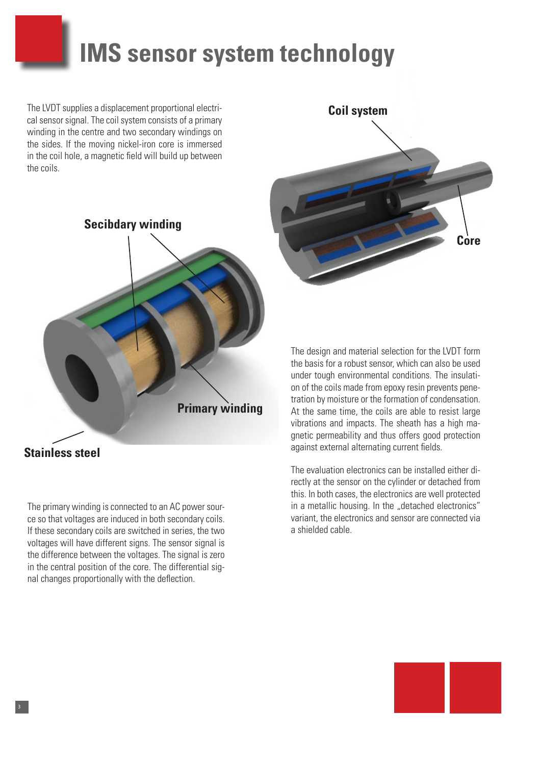## **IMS sensor system technology**

The LVDT supplies a displacement proportional electrical sensor signal. The coil system consists of a primary winding in the centre and two secondary windings on the sides. If the moving nickel-iron core is immersed in the coil hole, a magnetic field will build up between the coils.





The primary winding is connected to an AC power source so that voltages are induced in both secondary coils. If these secondary coils are switched in series, the two voltages will have different signs. The sensor signal is the difference between the voltages. The signal is zero in the central position of the core. The differential signal changes proportionally with the deflection.

3

The design and material selection for the LVDT form the basis for a robust sensor, which can also be used under tough environmental conditions. The insulation of the coils made from epoxy resin prevents penetration by moisture or the formation of condensation. At the same time, the coils are able to resist large vibrations and impacts. The sheath has a high magnetic permeability and thus offers good protection against external alternating current fields.

The evaluation electronics can be installed either directly at the sensor on the cylinder or detached from this. In both cases, the electronics are well protected in a metallic housing. In the "detached electronics" variant, the electronics and sensor are connected via a shielded cable.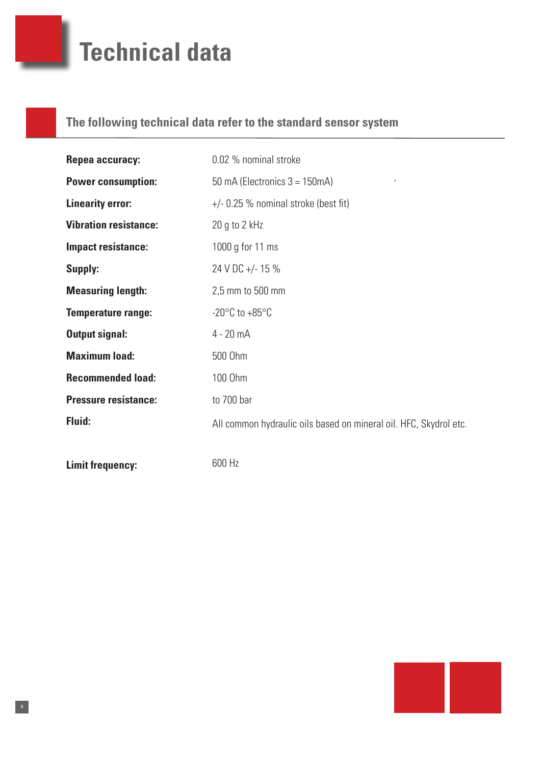## **Technical data**

### **The following technical data refer to the standard sensor system**

| Repea accuracy:              | 0.02 % nominal stroke                                             |
|------------------------------|-------------------------------------------------------------------|
| <b>Power consumption:</b>    | 50 mA (Electronics $3 = 150$ mA)                                  |
| <b>Linearity error:</b>      | $+/-$ 0.25 % nominal stroke (best fit)                            |
| <b>Vibration resistance:</b> | 20 g to 2 $kHz$                                                   |
| <b>Impact resistance:</b>    | 1000 g for 11 ms                                                  |
| <b>Supply:</b>               | 24 V DC +/- 15 %                                                  |
| <b>Measuring length:</b>     | 2,5 mm to 500 mm                                                  |
| <b>Temperature range:</b>    | $-20^{\circ}$ C to $+85^{\circ}$ C                                |
| <b>Output signal:</b>        | $4 - 20$ mA                                                       |
| <b>Maximum load:</b>         | 500 Ohm                                                           |
| <b>Recommended load:</b>     | 100 Ohm                                                           |
| <b>Pressure resistance:</b>  | to 700 bar                                                        |
| <b>Fluid:</b>                | All common hydraulic oils based on mineral oil. HFC, Skydrol etc. |

**Limit frequency:**

4

600 Hz

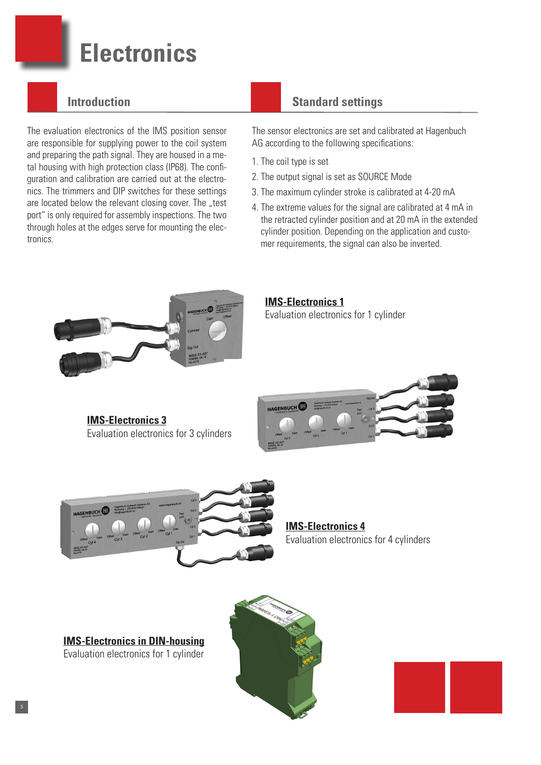## **Electronics**

### **Introduction**

The evaluation electronics of the IMS position sensor are responsible for supplying power to the coil system and preparing the path signal. They are housed in a metal housing with high protection class (IP68). The configuration and calibration are carried out at the electronics. The trimmers and DIP switches for these settings are located below the relevant closing cover. The "test port" is only required for assembly inspections. The two through holes at the edges serve for mounting the electronics.

### **Standard settings**

The sensor electronics are set and calibrated at Hagenbuch AG according to the following specifications:

- 1. The coil type is set
- 2. The output signal is set as SOURCE Mode
- 3. The maximum cylinder stroke is calibrated at 4-20 mA
- 4. The extreme values for the signal are calibrated at 4 mA in the retracted cylinder position and at 20 mA in the extended cylinder position. Depending on the application and custo mer requirements, the signal can also be inverted.

**IMS-Electronics 1** Evaluation electronics for 1 cylinder

**IMS-Electronics 3** Evaluation electronics for 3 cylinders





**IMS-Electronics 4** Evaluation electronics for 4 cylinders

**IMS-Electronics in DIN-housing** Evaluation electronics for 1 cylinder